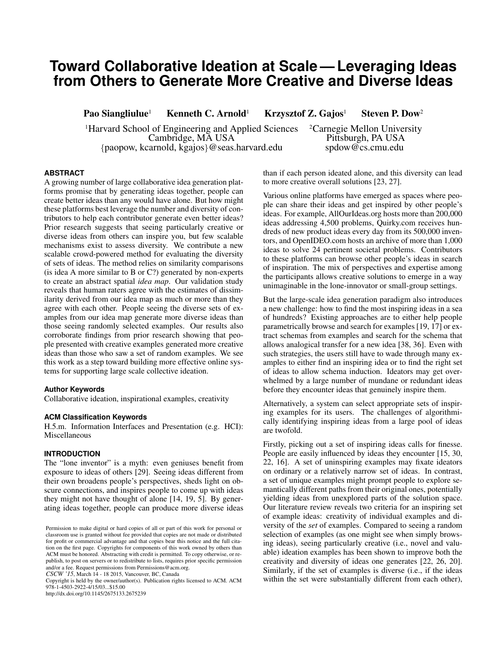# **Toward Collaborative Ideation at Scale— Leveraging Ideas from Others to Generate More Creative and Diverse Ideas**

Pao Siangliulue<sup>1</sup> Kenneth C. Arnold<sup>1</sup> Krzysztof Z. Gajos<sup>1</sup> Steven P. Dow<sup>2</sup>

<sup>1</sup>Harvard School of Engineering and Applied Sciences Cambridge, MA USA {paopow, kcarnold, kgajos}@seas.harvard.edu

<sup>2</sup>Carnegie Mellon University Pittsburgh, PA USA spdow@cs.cmu.edu

## **ABSTRACT**

A growing number of large collaborative idea generation platforms promise that by generating ideas together, people can create better ideas than any would have alone. But how might these platforms best leverage the number and diversity of contributors to help each contributor generate even better ideas? Prior research suggests that seeing particularly creative or diverse ideas from others can inspire you, but few scalable mechanisms exist to assess diversity. We contribute a new scalable crowd-powered method for evaluating the diversity of sets of ideas. The method relies on similarity comparisons (is idea A more similar to B or C?) generated by non-experts to create an abstract spatial *idea map*. Our validation study reveals that human raters agree with the estimates of dissimilarity derived from our idea map as much or more than they agree with each other. People seeing the diverse sets of examples from our idea map generate more diverse ideas than those seeing randomly selected examples. Our results also corroborate findings from prior research showing that people presented with creative examples generated more creative ideas than those who saw a set of random examples. We see this work as a step toward building more effective online systems for supporting large scale collective ideation.

#### **Author Keywords**

Collaborative ideation, inspirational examples, creativity

#### **ACM Classification Keywords**

H.5.m. Information Interfaces and Presentation (e.g. HCI): Miscellaneous

### **INTRODUCTION**

The "lone inventor" is a myth: even geniuses benefit from exposure to ideas of others [\[29\]](#page-8-0). Seeing ideas different from their own broadens people's perspectives, sheds light on obscure connections, and inspires people to come up with ideas they might not have thought of alone [\[14,](#page-8-1) [19,](#page-8-2) [5\]](#page-8-3). By generating ideas together, people can produce more diverse ideas

*CSCW '15*, March 14 - 18 2015, Vancouver, BC, Canada

Copyright is held by the owner/author(s). Publication rights licensed to ACM. ACM 978-1-4503-2922-4/15/03...\$15.00

<http://dx.doi.org/10.1145/2675133.2675239>

than if each person ideated alone, and this diversity can lead to more creative overall solutions [\[23,](#page-8-4) [27\]](#page-8-5).

Various online platforms have emerged as spaces where people can share their ideas and get inspired by other people's ideas. For example, AllOurIdeas.org hosts more than 200,000 ideas addressing 4,500 problems, Quirky.com receives hundreds of new product ideas every day from its 500,000 inventors, and OpenIDEO.com hosts an archive of more than 1,000 ideas to solve 24 pertinent societal problems. Contributors to these platforms can browse other people's ideas in search of inspiration. The mix of perspectives and expertise among the participants allows creative solutions to emerge in a way unimaginable in the lone-innovator or small-group settings.

But the large-scale idea generation paradigm also introduces a new challenge: how to find the most inspiring ideas in a sea of hundreds? Existing approaches are to either help people parametrically browse and search for examples [\[19,](#page-8-2) [17\]](#page-8-6) or extract schemas from examples and search for the schema that allows analogical transfer for a new idea [\[38,](#page-8-7) [36\]](#page-8-8). Even with such strategies, the users still have to wade through many examples to either find an inspiring idea or to find the right set of ideas to allow schema induction. Ideators may get overwhelmed by a large number of mundane or redundant ideas before they encounter ideas that genuinely inspire them.

Alternatively, a system can select appropriate sets of inspiring examples for its users. The challenges of algorithmically identifying inspiring ideas from a large pool of ideas are twofold.

Firstly, picking out a set of inspiring ideas calls for finesse. People are easily influenced by ideas they encounter [\[15,](#page-8-9) [30,](#page-8-10) [22,](#page-8-11) [16\]](#page-8-12). A set of uninspiring examples may fixate ideators on ordinary or a relatively narrow set of ideas. In contrast, a set of unique examples might prompt people to explore semantically different paths from their original ones, potentially yielding ideas from unexplored parts of the solution space. Our literature review reveals two criteria for an inspiring set of example ideas: creativity of individual examples and diversity of the *set* of examples. Compared to seeing a random selection of examples (as one might see when simply browsing ideas), seeing particularly creative (i.e., novel and valuable) ideation examples has been shown to improve both the creativity and diversity of ideas one generates [\[22,](#page-8-11) [26,](#page-8-13) [20\]](#page-8-14). Similarly, if the set of examples is diverse (i.e., if the ideas within the set were substantially different from each other),

Permission to make digital or hard copies of all or part of this work for personal or classroom use is granted without fee provided that copies are not made or distributed for profit or commercial advantage and that copies bear this notice and the full citation on the first page. Copyrights for components of this work owned by others than ACM must be honored. Abstracting with credit is permitted. To copy otherwise, or republish, to post on servers or to redistribute to lists, requires prior specific permission and/or a fee. Request permissions from [Permissions@acm.org.](mailto:Permissions@acm.org)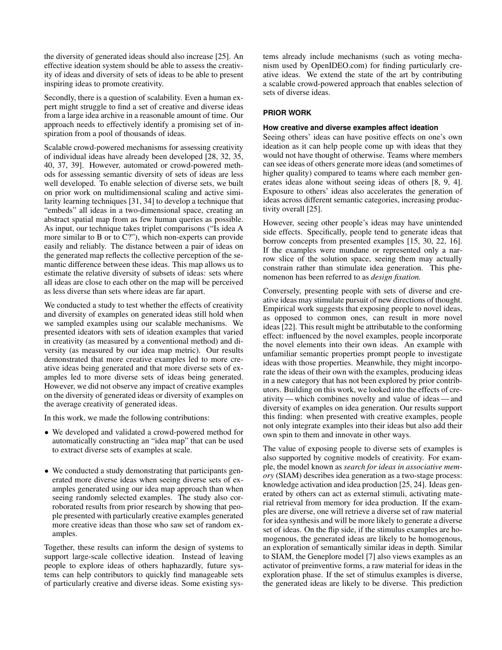the diversity of generated ideas should also increase [\[25\]](#page-8-15). An effective ideation system should be able to assess the creativity of ideas and diversity of sets of ideas to be able to present inspiring ideas to promote creativity.

Secondly, there is a question of scalability. Even a human expert might struggle to find a set of creative and diverse ideas from a large idea archive in a reasonable amount of time. Our approach needs to effectively identify a promising set of inspiration from a pool of thousands of ideas.

Scalable crowd-powered mechanisms for assessing creativity of individual ideas have already been developed [\[28,](#page-8-16) [32,](#page-8-17) [35,](#page-8-18) [40,](#page-8-19) [37,](#page-8-20) [39\]](#page-8-21). However, automated or crowd-powered methods for assessing semantic diversity of sets of ideas are less well developed. To enable selection of diverse sets, we built on prior work on multidimensional scaling and active similarity learning techniques [\[31,](#page-8-22) [34\]](#page-8-23) to develop a technique that "embeds" all ideas in a two-dimensional space, creating an abstract spatial map from as few human queries as possible. As input, our technique takes triplet comparisons ("Is idea A more similar to B or to C?"), which non-experts can provide easily and reliably. The distance between a pair of ideas on the generated map reflects the collective perception of the semantic difference between these ideas. This map allows us to estimate the relative diversity of subsets of ideas: sets where all ideas are close to each other on the map will be perceived as less diverse than sets where ideas are far apart.

We conducted a study to test whether the effects of creativity and diversity of examples on generated ideas still hold when we sampled examples using our scalable mechanisms. We presented ideators with sets of ideation examples that varied in creativity (as measured by a conventional method) and diversity (as measured by our idea map metric). Our results demonstrated that more creative examples led to more creative ideas being generated and that more diverse sets of examples led to more diverse sets of ideas being generated. However, we did not observe any impact of creative examples on the diversity of generated ideas or diversity of examples on the average creativity of generated ideas.

In this work, we made the following contributions:

- We developed and validated a crowd-powered method for automatically constructing an "idea map" that can be used to extract diverse sets of examples at scale.
- We conducted a study demonstrating that participants generated more diverse ideas when seeing diverse sets of examples generated using our idea map approach than when seeing randomly selected examples. The study also corroborated results from prior research by showing that people presented with particularly creative examples generated more creative ideas than those who saw set of random examples.

Together, these results can inform the design of systems to support large-scale collective ideation. Instead of leaving people to explore ideas of others haphazardly, future systems can help contributors to quickly find manageable sets of particularly creative and diverse ideas. Some existing systems already include mechanisms (such as voting mechanism used by OpenIDEO.com) for finding particularly creative ideas. We extend the state of the art by contributing a scalable crowd-powered approach that enables selection of sets of diverse ideas.

# **PRIOR WORK**

# **How creative and diverse examples affect ideation**

Seeing others' ideas can have positive effects on one's own ideation as it can help people come up with ideas that they would not have thought of otherwise. Teams where members can see ideas of others generate more ideas (and sometimes of higher quality) compared to teams where each member generates ideas alone without seeing ideas of others [\[8,](#page-8-24) [9,](#page-8-25) [4\]](#page-8-26). Exposure to others' ideas also accelerates the generation of ideas across different semantic categories, increasing productivity overall [\[25\]](#page-8-15).

However, seeing other people's ideas may have unintended side effects. Specifically, people tend to generate ideas that borrow concepts from presented examples [\[15,](#page-8-9) [30,](#page-8-10) [22,](#page-8-11) [16\]](#page-8-12). If the examples were mundane or represented only a narrow slice of the solution space, seeing them may actually constrain rather than stimulate idea generation. This phenomenon has been referred to as *design fixation.*

Conversely, presenting people with sets of diverse and creative ideas may stimulate pursuit of new directions of thought. Empirical work suggests that exposing people to novel ideas, as opposed to common ones, can result in more novel ideas [\[22\]](#page-8-11). This result might be attributable to the conforming effect: influenced by the novel examples, people incorporate the novel elements into their own ideas. An example with unfamiliar semantic properties prompt people to investigate ideas with those properties. Meanwhile, they might incorporate the ideas of their own with the examples, producing ideas in a new category that has not been explored by prior contributors. Building on this work, we looked into the effects of creativity — which combines novelty and value of ideas — and diversity of examples on idea generation. Our results support this finding: when presented with creative examples, people not only integrate examples into their ideas but also add their own spin to them and innovate in other ways.

The value of exposing people to diverse sets of examples is also supported by cognitive models of creativity. For example, the model known as *search for ideas in associative memory* (SIAM) describes idea generation as a two-stage process: knowledge activation and idea production [\[25,](#page-8-15) [24\]](#page-8-27). Ideas generated by others can act as external stimuli, activating material retrieval from memory for idea production. If the examples are diverse, one will retrieve a diverse set of raw material for idea synthesis and will be more likely to generate a diverse set of ideas. On the flip side, if the stimulus examples are homogenous, the generated ideas are likely to be homogenous, an exploration of semantically similar ideas in depth. Similar to SIAM, the Geneplore model [\[7\]](#page-8-28) also views examples as an activator of preinventive forms, a raw material for ideas in the exploration phase. If the set of stimulus examples is diverse, the generated ideas are likely to be diverse. This prediction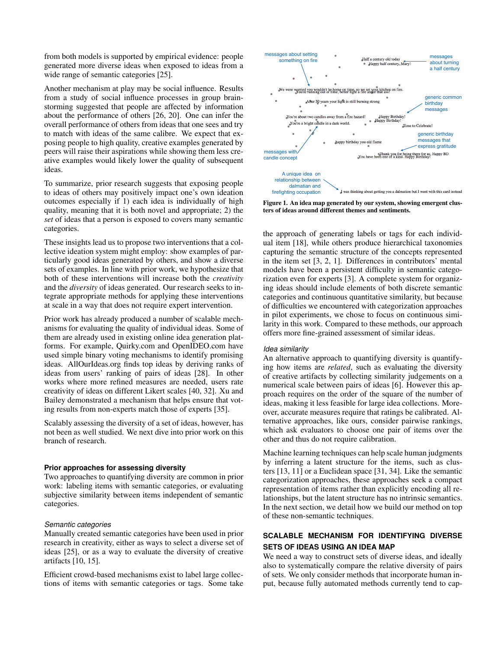from both models is supported by empirical evidence: people generated more diverse ideas when exposed to ideas from a wide range of semantic categories [\[25\]](#page-8-15).

Another mechanism at play may be social influence. Results from a study of social influence processes in group brainstorming suggested that people are affected by information about the performance of others [\[26,](#page-8-13) [20\]](#page-8-14). One can infer the overall performance of others from ideas that one sees and try to match with ideas of the same calibre. We expect that exposing people to high quality, creative examples generated by peers will raise their aspirations while showing them less creative examples would likely lower the quality of subsequent ideas.

To summarize, prior research suggests that exposing people to ideas of others may positively impact one's own ideation outcomes especially if 1) each idea is individually of high quality, meaning that it is both novel and appropriate; 2) the *set* of ideas that a person is exposed to covers many semantic categories.

These insights lead us to propose two interventions that a collective ideation system might employ: show examples of particularly good ideas generated by others, and show a diverse sets of examples. In line with prior work, we hypothesize that both of these interventions will increase both the *creativity* and the *diversity* of ideas generated. Our research seeks to integrate appropriate methods for applying these interventions at scale in a way that does not require expert intervention.

Prior work has already produced a number of scalable mechanisms for evaluating the quality of individual ideas. Some of them are already used in existing online idea generation platforms. For example, Quirky.com and OpenIDEO.com have used simple binary voting mechanisms to identify promising ideas. AllOurIdeas.org finds top ideas by deriving ranks of ideas from users' ranking of pairs of ideas [\[28\]](#page-8-16). In other works where more refined measures are needed, users rate creativity of ideas on different Likert scales [\[40,](#page-8-19) [32\]](#page-8-17). Xu and Bailey demonstrated a mechanism that helps ensure that voting results from non-experts match those of experts [\[35\]](#page-8-18).

Scalably assessing the diversity of a set of ideas, however, has not been as well studied. We next dive into prior work on this branch of research.

### **Prior approaches for assessing diversity**

Two approaches to quantifying diversity are common in prior work: labeling items with semantic categories, or evaluating subjective similarity between items independent of semantic categories.

#### *Semantic categories*

Manually created semantic categories have been used in prior research in creativity, either as ways to select a diverse set of ideas [\[25\]](#page-8-15), or as a way to evaluate the diversity of creative artifacts [\[10,](#page-8-29) [15\]](#page-8-9).

Efficient crowd-based mechanisms exist to label large collections of items with semantic categories or tags. Some take



<span id="page-2-0"></span>Figure 1. An idea map generated by our system, showing emergent clusters of ideas around different themes and sentiments.

the approach of generating labels or tags for each individual item [\[18\]](#page-8-30), while others produce hierarchical taxonomies capturing the semantic structure of the concepts represented in the item set [\[3,](#page-8-31) [2,](#page-8-32) [1\]](#page-8-33). Differences in contributors' mental models have been a persistent difficulty in semantic categorization even for experts [\[3\]](#page-8-31). A complete system for organizing ideas should include elements of both discrete semantic categories and continuous quantitative similarity, but because of difficulties we encountered with categorization approaches in pilot experiments, we chose to focus on continuous similarity in this work. Compared to these methods, our approach offers more fine-grained assessment of similar ideas.

#### *Idea similarity*

An alternative approach to quantifying diversity is quantifying how items are *related*, such as evaluating the diversity of creative artifacts by collecting similarity judgements on a numerical scale between pairs of ideas [\[6\]](#page-8-34). However this approach requires on the order of the square of the number of ideas, making it less feasible for large idea collections. Moreover, accurate measures require that ratings be calibrated. Alternative approaches, like ours, consider pairwise rankings, which ask evaluators to choose one pair of items over the other and thus do not require calibration.

Machine learning techniques can help scale human judgments by inferring a latent structure for the items, such as clusters [\[13,](#page-8-35) [11\]](#page-8-36) or a Euclidean space [\[31,](#page-8-22) [34\]](#page-8-23). Like the semantic categorization approaches, these approaches seek a compact representation of items rather than explicitly encoding all relationships, but the latent structure has no intrinsic semantics. In the next section, we detail how we build our method on top of these non-semantic techniques.

# **SCALABLE MECHANISM FOR IDENTIFYING DIVERSE SETS OF IDEAS USING AN IDEA MAP**

We need a way to construct sets of diverse ideas, and ideally also to systematically compare the relative diversity of pairs of sets. We only consider methods that incorporate human input, because fully automated methods currently tend to cap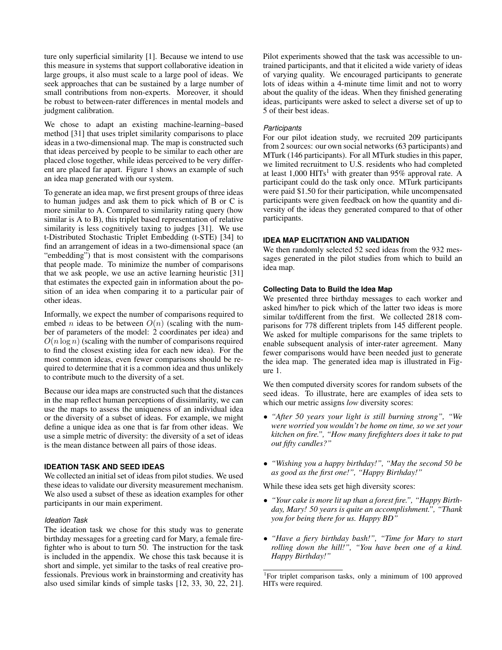ture only superficial similarity [\[1\]](#page-8-33). Because we intend to use this measure in systems that support collaborative ideation in large groups, it also must scale to a large pool of ideas. We seek approaches that can be sustained by a large number of small contributions from non-experts. Moreover, it should be robust to between-rater differences in mental models and judgment calibration.

We chose to adapt an existing machine-learning–based method [\[31\]](#page-8-22) that uses triplet similarity comparisons to place ideas in a two-dimensional map. The map is constructed such that ideas perceived by people to be similar to each other are placed close together, while ideas perceived to be very different are placed far apart. Figure [1](#page-2-0) shows an example of such an idea map generated with our system.

To generate an idea map, we first present groups of three ideas to human judges and ask them to pick which of B or C is more similar to A. Compared to similarity rating query (how similar is A to B), this triplet based representation of relative similarity is less cognitively taxing to judges [\[31\]](#page-8-22). We use t-Distributed Stochastic Triplet Embedding (t-STE) [\[34\]](#page-8-23) to find an arrangement of ideas in a two-dimensional space (an "embedding") that is most consistent with the comparisons that people made. To minimize the number of comparisons that we ask people, we use an active learning heuristic [\[31\]](#page-8-22) that estimates the expected gain in information about the position of an idea when comparing it to a particular pair of other ideas.

Informally, we expect the number of comparisons required to embed *n* ideas to be between  $O(n)$  (scaling with the number of parameters of the model: 2 coordinates per idea) and  $O(n \log n)$  (scaling with the number of comparisons required to find the closest existing idea for each new idea). For the most common ideas, even fewer comparisons should be required to determine that it is a common idea and thus unlikely to contribute much to the diversity of a set.

Because our idea maps are constructed such that the distances in the map reflect human perceptions of dissimilarity, we can use the maps to assess the uniqueness of an individual idea or the diversity of a subset of ideas. For example, we might define a unique idea as one that is far from other ideas. We use a simple metric of diversity: the diversity of a set of ideas is the mean distance between all pairs of those ideas.

# **IDEATION TASK AND SEED IDEAS**

We collected an initial set of ideas from pilot studies. We used these ideas to validate our diversity measurement mechanism. We also used a subset of these as ideation examples for other participants in our main experiment.

## *Ideation Task*

The ideation task we chose for this study was to generate birthday messages for a greeting card for Mary, a female firefighter who is about to turn 50. The instruction for the task is included in the appendix. We chose this task because it is short and simple, yet similar to the tasks of real creative professionals. Previous work in brainstorming and creativity has also used similar kinds of simple tasks [\[12,](#page-8-37) [33,](#page-8-38) [30,](#page-8-10) [22,](#page-8-11) [21\]](#page-8-39).

Pilot experiments showed that the task was accessible to untrained participants, and that it elicited a wide variety of ideas of varying quality. We encouraged participants to generate lots of ideas within a 4-minute time limit and not to worry about the quality of the ideas. When they finished generating ideas, participants were asked to select a diverse set of up to 5 of their best ideas.

#### *Participants*

For our pilot ideation study, we recruited 209 participants from 2 sources: our own social networks (63 participants) and MTurk (146 participants). For all MTurk studies in this paper, we limited recruitment to U.S. residents who had completed at least  $1,000$  $1,000$  HITs<sup>1</sup> with greater than 95% approval rate. A participant could do the task only once. MTurk participants were paid \$1.50 for their participation, while uncompensated participants were given feedback on how the quantity and diversity of the ideas they generated compared to that of other participants.

### **IDEA MAP ELICITATION AND VALIDATION**

We then randomly selected 52 seed ideas from the 932 messages generated in the pilot studies from which to build an idea map.

## **Collecting Data to Build the Idea Map**

We presented three birthday messages to each worker and asked him/her to pick which of the latter two ideas is more similar to/different from the first. We collected 2818 comparisons for 778 different triplets from 145 different people. We asked for multiple comparisons for the same triplets to enable subsequent analysis of inter-rater agreement. Many fewer comparisons would have been needed just to generate the idea map. The generated idea map is illustrated in Figure [1.](#page-2-0)

We then computed diversity scores for random subsets of the seed ideas. To illustrate, here are examples of idea sets to which our metric assigns *low* diversity scores:

- *"After 50 years your light is still burning strong", "We were worried you wouldn't be home on time, so we set your kitchen on fire.", "How many firefighters does it take to put out fifty candles?"*
- *"Wishing you a happy birthday!", "May the second 50 be as good as the first one!", "Happy Birthday!"*

While these idea sets get high diversity scores:

- *"Your cake is more lit up than a forest fire.", "Happy Birthday, Mary! 50 years is quite an accomplishment.", "Thank you for being there for us. Happy BD"*
- *"Have a fiery birthday bash!", "Time for Mary to start rolling down the hill!", "You have been one of a kind. Happy Birthday!"*

<span id="page-3-0"></span><sup>&</sup>lt;sup>1</sup>For triplet comparison tasks, only a minimum of 100 approved HITs were required.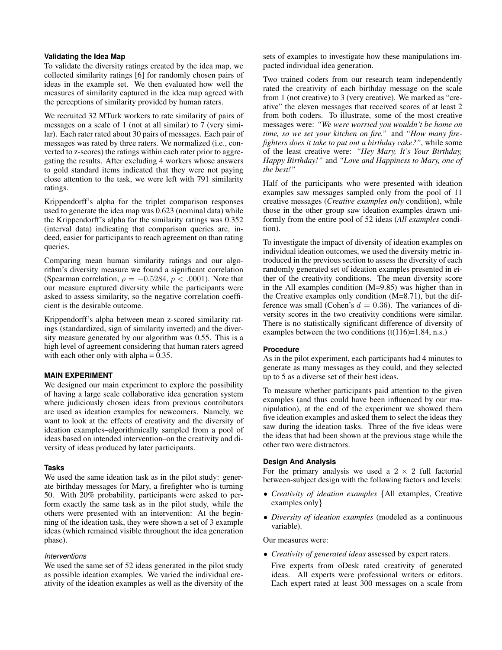## **Validating the Idea Map**

To validate the diversity ratings created by the idea map, we collected similarity ratings [\[6\]](#page-8-34) for randomly chosen pairs of ideas in the example set. We then evaluated how well the measures of similarity captured in the idea map agreed with the perceptions of similarity provided by human raters.

We recruited 32 MTurk workers to rate similarity of pairs of messages on a scale of 1 (not at all similar) to 7 (very similar). Each rater rated about 30 pairs of messages. Each pair of messages was rated by three raters. We normalized (i.e., converted to z-scores) the ratings within each rater prior to aggregating the results. After excluding 4 workers whose answers to gold standard items indicated that they were not paying close attention to the task, we were left with 791 similarity ratings.

Krippendorff's alpha for the triplet comparison responses used to generate the idea map was 0.623 (nominal data) while the Krippendorff's alpha for the similarity ratings was 0.352 (interval data) indicating that comparison queries are, indeed, easier for participants to reach agreement on than rating queries.

Comparing mean human similarity ratings and our algorithm's diversity measure we found a significant correlation (Spearman correlation,  $\rho = -0.5284$ ,  $p < .0001$ ). Note that our measure captured diversity while the participants were asked to assess similarity, so the negative correlation coefficient is the desirable outcome.

Krippendorff's alpha between mean z-scored similarity ratings (standardized, sign of similarity inverted) and the diversity measure generated by our algorithm was 0.55. This is a high level of agreement considering that human raters agreed with each other only with alpha  $= 0.35$ .

### **MAIN EXPERIMENT**

We designed our main experiment to explore the possibility of having a large scale collaborative idea generation system where judiciously chosen ideas from previous contributors are used as ideation examples for newcomers. Namely, we want to look at the effects of creativity and the diversity of ideation examples–algorithmically sampled from a pool of ideas based on intended intervention–on the creativity and diversity of ideas produced by later participants.

### **Tasks**

We used the same ideation task as in the pilot study: generate birthday messages for Mary, a firefighter who is turning 50. With 20% probability, participants were asked to perform exactly the same task as in the pilot study, while the others were presented with an intervention: At the beginning of the ideation task, they were shown a set of 3 example ideas (which remained visible throughout the idea generation phase).

### *Interventions*

We used the same set of 52 ideas generated in the pilot study as possible ideation examples. We varied the individual creativity of the ideation examples as well as the diversity of the sets of examples to investigate how these manipulations impacted individual idea generation.

Two trained coders from our research team independently rated the creativity of each birthday message on the scale from 1 (not creative) to 3 (very creative). We marked as "creative" the eleven messages that received scores of at least 2 from both coders. To illustrate, some of the most creative messages were: *"We were worried you wouldn't be home on time, so we set your kitchen on fire."* and *"How many firefighters does it take to put out a birthday cake?"*, while some of the least creative were: *"Hey Mary, It's Your Birthday, Happy Birthday!"* and *"Love and Happiness to Mary, one of the best!"*

Half of the participants who were presented with ideation examples saw messages sampled only from the pool of 11 creative messages (*Creative examples only* condition), while those in the other group saw ideation examples drawn uniformly from the entire pool of 52 ideas (*All examples* condition).

To investigate the impact of diversity of ideation examples on individual ideation outcomes, we used the diversity metric introduced in the previous section to assess the diversity of each randomly generated set of ideation examples presented in either of the creativity conditions. The mean diversity score in the All examples condition (M=9.85) was higher than in the Creative examples only condition (M=8.71), but the difference was small (Cohen's  $d = 0.36$ ). The variances of diversity scores in the two creativity conditions were similar. There is no statistically significant difference of diversity of examples between the two conditions  $(t(116)=1.84, n.s.)$ 

# **Procedure**

As in the pilot experiment, each participants had 4 minutes to generate as many messages as they could, and they selected up to 5 as a diverse set of their best ideas.

To measure whether participants paid attention to the given examples (and thus could have been influenced by our manipulation), at the end of the experiment we showed them five ideation examples and asked them to select the ideas they saw during the ideation tasks. Three of the five ideas were the ideas that had been shown at the previous stage while the other two were distractors.

# **Design And Analysis**

For the primary analysis we used a  $2 \times 2$  full factorial between-subject design with the following factors and levels:

- *Creativity of ideation examples* {All examples, Creative examples only}
- *Diversity of ideation examples* (modeled as a continuous variable).

# Our measures were:

- *Creativity of generated ideas* assessed by expert raters.
	- Five experts from oDesk rated creativity of generated ideas. All experts were professional writers or editors. Each expert rated at least 300 messages on a scale from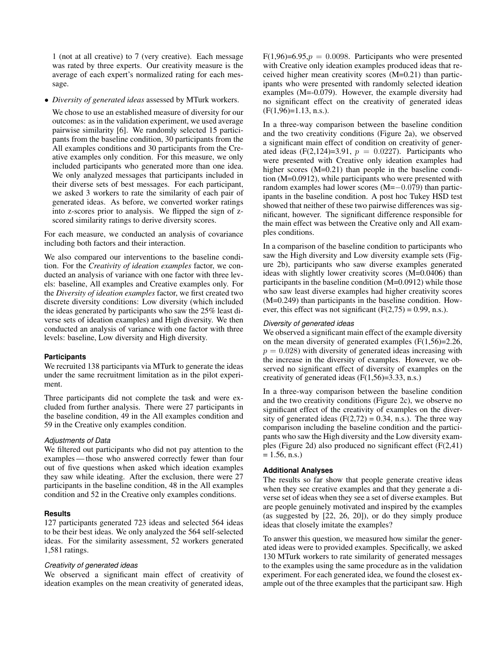1 (not at all creative) to 7 (very creative). Each message was rated by three experts. Our creativity measure is the average of each expert's normalized rating for each message.

• *Diversity of generated ideas* assessed by MTurk workers.

We chose to use an established measure of diversity for our outcomes: as in the validation experiment, we used average pairwise similarity [\[6\]](#page-8-34). We randomly selected 15 participants from the baseline condition, 30 participants from the All examples conditions and 30 participants from the Creative examples only condition. For this measure, we only included participants who generated more than one idea. We only analyzed messages that participants included in their diverse sets of best messages. For each participant, we asked 3 workers to rate the similarity of each pair of generated ideas. As before, we converted worker ratings into z-scores prior to analysis. We flipped the sign of zscored similarity ratings to derive diversity scores.

For each measure, we conducted an analysis of covariance including both factors and their interaction.

We also compared our interventions to the baseline condition. For the *Creativity of ideation examples* factor, we conducted an analysis of variance with one factor with three levels: baseline, All examples and Creative examples only. For the *Diversity of ideation examples* factor, we first created two discrete diversity conditions: Low diversity (which included the ideas generated by participants who saw the 25% least diverse sets of ideation examples) and High diversity. We then conducted an analysis of variance with one factor with three levels: baseline, Low diversity and High diversity.

# **Participants**

We recruited 138 participants via MTurk to generate the ideas under the same recruitment limitation as in the pilot experiment.

Three participants did not complete the task and were excluded from further analysis. There were 27 participants in the baseline condition, 49 in the All examples condition and 59 in the Creative only examples condition.

# *Adjustments of Data*

We filtered out participants who did not pay attention to the examples — those who answered correctly fewer than four out of five questions when asked which ideation examples they saw while ideating. After the exclusion, there were 27 participants in the baseline condition, 48 in the All examples condition and 52 in the Creative only examples conditions.

# **Results**

127 participants generated 723 ideas and selected 564 ideas to be their best ideas. We only analyzed the 564 self-selected ideas. For the similarity assessment, 52 workers generated 1,581 ratings.

# *Creativity of generated ideas*

We observed a significant main effect of creativity of ideation examples on the mean creativity of generated ideas,

F(1,96)=6.95, $p = 0.0098$ . Participants who were presented with Creative only ideation examples produced ideas that received higher mean creativity scores (M=0.21) than participants who were presented with randomly selected ideation examples (M=-0.079). However, the example diversity had no significant effect on the creativity of generated ideas  $(F(1,96)=1.13, n.s.).$ 

In a three-way comparison between the baseline condition and the two creativity conditions (Figure [2a](#page-6-0)), we observed a significant main effect of condition on creativity of generated ideas (F(2,124)=3.91,  $p = 0.0227$ ). Participants who were presented with Creative only ideation examples had higher scores (M=0.21) than people in the baseline condition (M=0.0912), while participants who were presented with random examples had lower scores (M=−0.079) than participants in the baseline condition. A post hoc Tukey HSD test showed that neither of these two pairwise differences was significant, however. The significant difference responsible for the main effect was between the Creative only and All examples conditions.

In a comparison of the baseline condition to participants who saw the High diversity and Low diversity example sets (Figure [2b](#page-6-0)), participants who saw diverse examples generated ideas with slightly lower creativity scores  $(M=0.0406)$  than participants in the baseline condition (M=0.0912) while those who saw least diverse examples had higher creativity scores (M=0.249) than participants in the baseline condition. However, this effect was not significant  $(F(2,75) = 0.99, n.s.).$ 

# *Diversity of generated ideas*

We observed a significant main effect of the example diversity on the mean diversity of generated examples  $(F(1,56)=2.26,$  $p = 0.028$ ) with diversity of generated ideas increasing with the increase in the diversity of examples. However, we observed no significant effect of diversity of examples on the creativity of generated ideas  $(F(1,56)=3.33, n.s.)$ 

In a three-way comparison between the baseline condition and the two creativity conditions (Figure [2c](#page-6-0)), we observe no significant effect of the creativity of examples on the diversity of generated ideas ( $F(2,72) = 0.34$ , n.s.). The three way comparison including the baseline condition and the participants who saw the High diversity and the Low diversity examples (Figure [2d](#page-6-0)) also produced no significant effect (F(2,41)  $= 1.56$ , n.s.)

# **Additional Analyses**

The results so far show that people generate creative ideas when they see creative examples and that they generate a diverse set of ideas when they see a set of diverse examples. But are people genuinely motivated and inspired by the examples (as suggested by [\[22,](#page-8-11) [26,](#page-8-13) [20\]](#page-8-14)), or do they simply produce ideas that closely imitate the examples?

To answer this question, we measured how similar the generated ideas were to provided examples. Specifically, we asked 130 MTurk workers to rate similarity of generated messages to the examples using the same procedure as in the validation experiment. For each generated idea, we found the closest example out of the three examples that the participant saw. High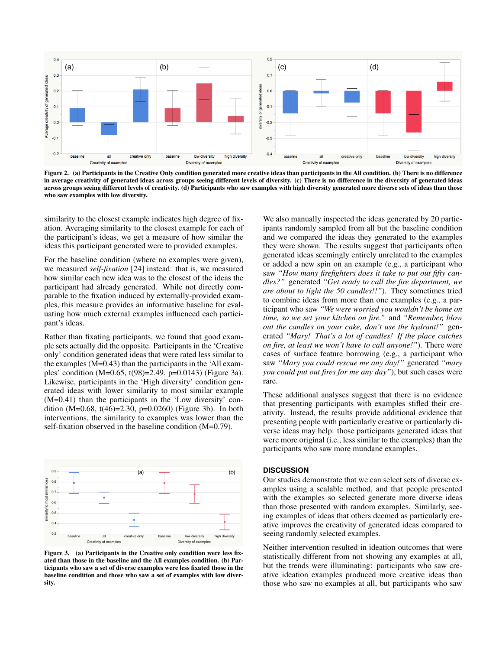

<span id="page-6-0"></span>Figure 2. (a) Participants in the Creative Only condition generated more creative ideas than participants in the All condition. (b) There is no difference in average creativity of generated ideas across groups seeing different levels of diversity. (c) There is no difference in the diversity of generated ideas across groups seeing different levels of creativity. (d) Participants who saw examples with high diversity generated more diverse sets of ideas than those who saw examples with low diversity.

similarity to the closest example indicates high degree of fixation. Averaging similarity to the closest example for each of the participant's ideas, we get a measure of how similar the ideas this participant generated were to provided examples.

For the baseline condition (where no examples were given), we measured *self-fixation* [\[24\]](#page-8-27) instead: that is, we measured how similar each new idea was to the closest of the ideas the participant had already generated. While not directly comparable to the fixation induced by externally-provided examples, this measure provides an informative baseline for evaluating how much external examples influenced each participant's ideas.

Rather than fixating participants, we found that good example sets actually did the opposite. Participants in the 'Creative only' condition generated ideas that were rated less similar to the examples (M=0.43) than the participants in the 'All examples' condition (M=0.65, t(98)=2.49, p=0.0143) (Figure [3a](#page-6-1)). Likewise, participants in the 'High diversity' condition generated ideas with lower similarity to most similar example (M=0.41) than the participants in the 'Low diversity' condition (M=0.68,  $t(46)=2.30$ ,  $p=0.0260$ ) (Figure [3b](#page-6-1)). In both interventions, the similarity to examples was lower than the self-fixation observed in the baseline condition (M=0.79).



<span id="page-6-1"></span>Figure 3. (a) Participants in the Creative only condition were less fixated than those in the baseline and the All examples condition. (b) Participants who saw a set of diverse examples were less fixated those in the baseline condition and those who saw a set of examples with low diversity.

We also manually inspected the ideas generated by 20 participants randomly sampled from all but the baseline condition and we compared the ideas they generated to the examples they were shown. The results suggest that participants often generated ideas seemingly entirely unrelated to the examples or added a new spin on an example (e.g., a participant who saw *"How many firefighters does it take to put out fifty candles?"* generated *"Get ready to call the fire department, we are about to light the 50 candles!!"*). They sometimes tried to combine ideas from more than one examples (e.g., a participant who saw *"We were worried you wouldn't be home on time, so we set your kitchen on fire."* and *"Remember, blow out the candles on your cake, don't use the hydrant!"* generated *"Mary! That's a lot of candles! If the place catches on fire, at least we won't have to call anyone!"*). There were cases of surface feature borrowing (e.g., a participant who saw *"Mary you could rescue me any day!"* generated *"mary you could put out fires for me any day"*), but such cases were rare.

These additional analyses suggest that there is no evidence that presenting participants with examples stifled their creativity. Instead, the results provide additional evidence that presenting people with particularly creative or particularly diverse ideas may help: those participants generated ideas that were more original (i.e., less similar to the examples) than the participants who saw more mundane examples.

## **DISCUSSION**

Our studies demonstrate that we can select sets of diverse examples using a scalable method, and that people presented with the examples so selected generate more diverse ideas than those presented with random examples. Similarly, seeing examples of ideas that others deemed as particularly creative improves the creativity of generated ideas compared to seeing randomly selected examples.

Neither intervention resulted in ideation outcomes that were statistically different from not showing any examples at all, but the trends were illuminating: participants who saw creative ideation examples produced more creative ideas than those who saw no examples at all, but participants who saw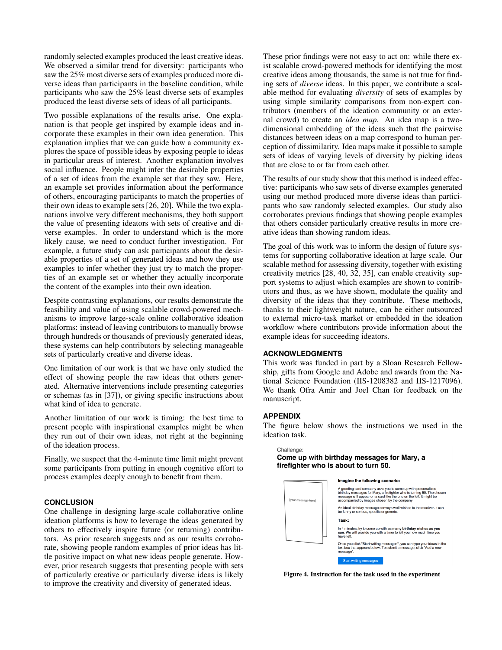randomly selected examples produced the least creative ideas. We observed a similar trend for diversity: participants who saw the 25% most diverse sets of examples produced more diverse ideas than participants in the baseline condition, while participants who saw the 25% least diverse sets of examples produced the least diverse sets of ideas of all participants.

Two possible explanations of the results arise. One explanation is that people get inspired by example ideas and incorporate these examples in their own idea generation. This explanation implies that we can guide how a community explores the space of possible ideas by exposing people to ideas in particular areas of interest. Another explanation involves social influence. People might infer the desirable properties of a set of ideas from the example set that they saw. Here, an example set provides information about the performance of others, encouraging participants to match the properties of their own ideas to example sets [\[26,](#page-8-13) [20\]](#page-8-14). While the two explanations involve very different mechanisms, they both support the value of presenting ideators with sets of creative and diverse examples. In order to understand which is the more likely cause, we need to conduct further investigation. For example, a future study can ask participants about the desirable properties of a set of generated ideas and how they use examples to infer whether they just try to match the properties of an example set or whether they actually incorporate the content of the examples into their own ideation.

Despite contrasting explanations, our results demonstrate the feasibility and value of using scalable crowd-powered mechanisms to improve large-scale online collaborative ideation platforms: instead of leaving contributors to manually browse through hundreds or thousands of previously generated ideas, these systems can help contributors by selecting manageable sets of particularly creative and diverse ideas.

One limitation of our work is that we have only studied the effect of showing people the raw ideas that others generated. Alternative interventions include presenting categories or schemas (as in [\[37\]](#page-8-20)), or giving specific instructions about what kind of idea to generate.

Another limitation of our work is timing: the best time to present people with inspirational examples might be when they run out of their own ideas, not right at the beginning of the ideation process.

Finally, we suspect that the 4-minute time limit might prevent some participants from putting in enough cognitive effort to process examples deeply enough to benefit from them.

# **CONCLUSION**

One challenge in designing large-scale collaborative online ideation platforms is how to leverage the ideas generated by others to effectively inspire future (or returning) contributors. As prior research suggests and as our results corroborate, showing people random examples of prior ideas has little positive impact on what new ideas people generate. However, prior research suggests that presenting people with sets of particularly creative or particularly diverse ideas is likely to improve the creativity and diversity of generated ideas.

These prior findings were not easy to act on: while there exist scalable crowd-powered methods for identifying the most creative ideas among thousands, the same is not true for finding sets of *diverse* ideas. In this paper, we contribute a scalable method for evaluating *diversity* of sets of examples by using simple similarity comparisons from non-expert contributors (members of the ideation community or an external crowd) to create an *idea map*. An idea map is a twodimensional embedding of the ideas such that the pairwise distances between ideas on a map correspond to human perception of dissimilarity. Idea maps make it possible to sample sets of ideas of varying levels of diversity by picking ideas that are close to or far from each other.

The results of our study show that this method is indeed effective: participants who saw sets of diverse examples generated using our method produced more diverse ideas than participants who saw randomly selected examples. Our study also corroborates previous findings that showing people examples that others consider particularly creative results in more creative ideas than showing random ideas.

The goal of this work was to inform the design of future systems for supporting collaborative ideation at large scale. Our scalable method for assessing diversity, together with existing creativity metrics [\[28,](#page-8-16) [40,](#page-8-19) [32,](#page-8-17) [35\]](#page-8-18), can enable creativity support systems to adjust which examples are shown to contributors and thus, as we have shown, modulate the quality and diversity of the ideas that they contribute. These methods, thanks to their lightweight nature, can be either outsourced to external micro-task market or embedded in the ideation workflow where contributors provide information about the example ideas for succeeding ideators.

### **ACKNOWLEDGMENTS**

This work was funded in part by a Sloan Research Fellowship, gifts from Google and Adobe and awards from the National Science Foundation (IIS-1208382 and IIS-1217096). We thank Ofra Amir and Joel Chan for feedback on the manuscript.

### **APPENDIX**

The figure below shows the instructions we used in the ideation task.

Challenge: Come up with birthday messages for Mary, a firefighter who is about to turn 50. Imagine the following scenario: A greeting card company asks you to come up with personalized<br>birthday messages for Mary, a firefighter who is turning 50. The chosen<br>message will appear on a card like the one on the left. It might be<br>accompanied by image An ideal birthday message conveys well wishes to the receiver. It can<br>be funny or serious, specific or generic. Task: In 4 minutes, try to come up with as many birthday wishes as you<br>can. We will provide you with a timer to tell you how much time you<br>have left. nave rent<br>Once you click "Start writing messages", you can type your ideas in the<br>text box that appears below. To submit a message, click "Add a new<br>message". Start writing messages

Figure 4. Instruction for the task used in the experiment